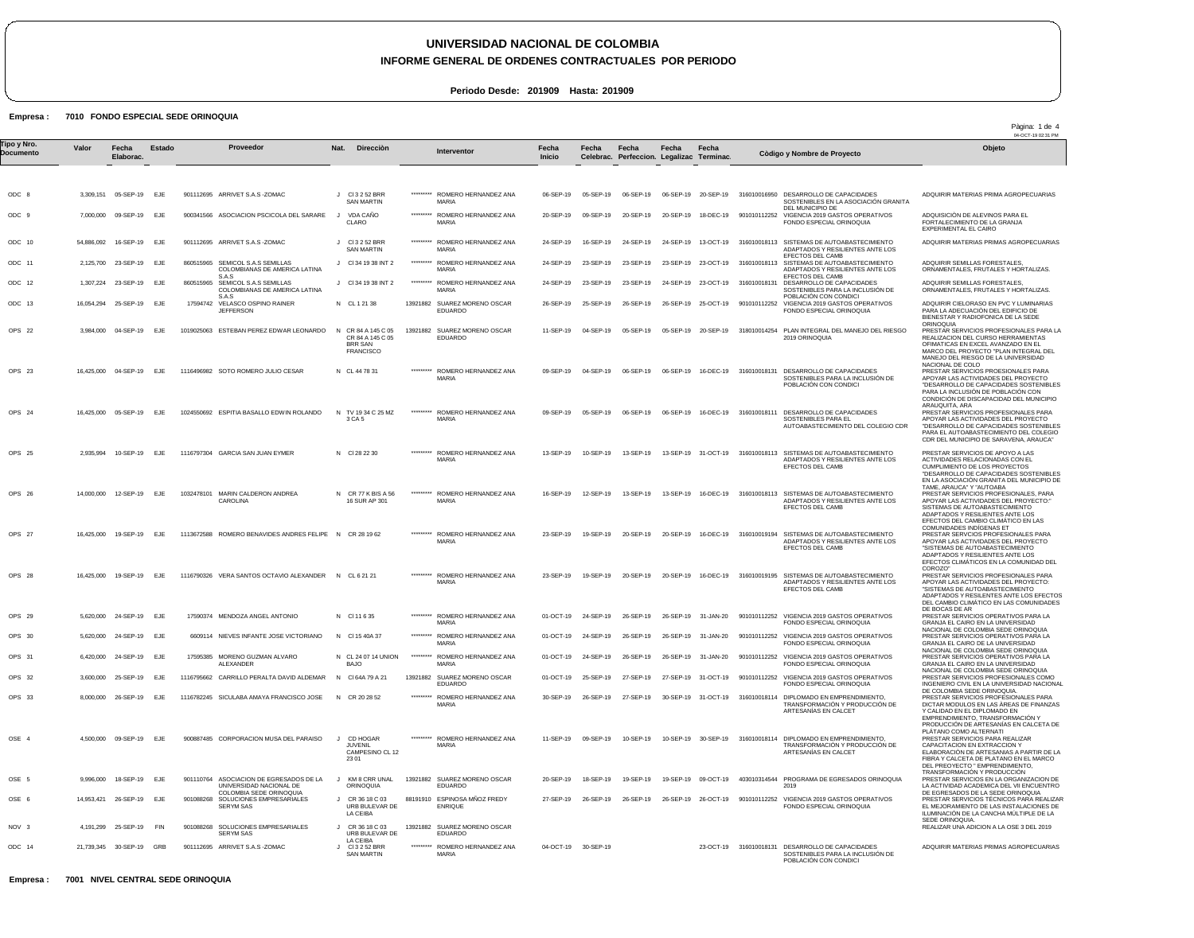**INFORME GENERAL DE ORDENES CONTRACTUALES POR PERIODO**

Pàgina: 1 de 4

**Periodo Desde: 201909 Hasta: 201909**

#### Empresa : 7010 FONDO ESPECIAL SEDE ORINOQUIA

|                          |            |                          |               |          |                                                                                     |              |                                                                            |           |                                                |                     |                     |                                                    |                     |                     |                                                                                                                         | 04-OCT-19 02:31 PM                                                                                                                                                                                                                   |
|--------------------------|------------|--------------------------|---------------|----------|-------------------------------------------------------------------------------------|--------------|----------------------------------------------------------------------------|-----------|------------------------------------------------|---------------------|---------------------|----------------------------------------------------|---------------------|---------------------|-------------------------------------------------------------------------------------------------------------------------|--------------------------------------------------------------------------------------------------------------------------------------------------------------------------------------------------------------------------------------|
| Tipo y Nro.<br>Documento | Valor      | Fecha<br>Elaborac.       | <b>Estado</b> |          | Proveedor                                                                           | Nat.         | <b>Dirección</b>                                                           |           | Interventor                                    | Fecha<br>Inicio     | Fecha               | Fecha<br>Celebrac. Perfeccion. Legalizac Terminac. | Fecha               | Fecha               | Còdigo y Nombre de Proyecto                                                                                             | Objeto                                                                                                                                                                                                                               |
|                          |            |                          |               |          |                                                                                     |              |                                                                            |           |                                                |                     |                     |                                                    |                     |                     |                                                                                                                         |                                                                                                                                                                                                                                      |
| ODC 8                    | 3,309,151  | 05-SEP-19                | EJE           |          | 901112695 ARRIVET S.A.S - ZOMAC                                                     |              | J CI3252BRR<br><b>SAN MARTIN</b>                                           | ********* | ROMERO HERNANDEZ ANA<br><b>MARIA</b>           | 06-SEP-19           | 05-SEP-19           | 06-SEP-19                                          |                     | 06-SEP-19 20-SEP-19 | 316010016950 DESARROLLO DE CAPACIDADES<br>SOSTENIBLES EN LA ASOCIACIÓN GRANITA<br>DEL MUNICIPIO DE                      | ADQUIRIR MATERIAS PRIMA AGROPECUARIAS                                                                                                                                                                                                |
| ODC 9                    | 7,000,000  | 09-SEP-19                | EJE           |          | 900341566 ASOCIACION PSCICOLA DEL SARARE                                            |              | VDA CAÑO<br>CLARO                                                          | ********* | ROMERO HERNANDEZ ANA<br><b>MARIA</b>           | 20-SEP-19           | 09-SEP-19           | 20-SEP-19                                          | 20-SEP-19           | 18-DEC-19           | 901010112252 VIGENCIA 2019 GASTOS OPERATIVOS<br>FONDO ESPECIAL ORINOQUIA                                                | ADQUISICIÓN DE ALEVINOS PARA EL<br>FORTALECIMIENTO DE LA GRANJA<br>EXPERIMENTAL EL CAIRO                                                                                                                                             |
| ODC 10                   | 54.886.092 | 16-SEP-19                | EJE           |          | 901112695 ARRIVET S.A.S - ZOMAC                                                     |              | J CI3252BRR<br><b>SAN MARTIN</b>                                           |           | ROMERO HERNANDEZ ANA<br>MARIA                  | 24-SEP-19           | 16-SEP-19           | 24-SEP-19                                          | 24-SEP-19           | 13-OCT-19           | 316010018113 SISTEMAS DE AUTOABASTECIMIENTO<br>ADAPTADOS Y RESILIENTES ANTE LOS<br>EFECTOS DEL CAMB                     | ADQUIRIR MATERIAS PRIMAS AGROPECUARIAS                                                                                                                                                                                               |
| ODC 11                   |            | 2,125,700 23-SEP-19      | EJE           |          | 860515965 SEMICOL S.A.S SEMILLAS<br>COLOMBIANAS DE AMERICA LATINA                   |              | J CI 34 19 38 INT 2                                                        | ********* | ROMERO HERNANDEZ ANA<br>MARIA                  | 24-SEP-19           | 23-SEP-19           | 23-SEP-19                                          |                     | 23-SEP-19 23-OCT-19 | 316010018113 SISTEMAS DE AUTOABASTECIMIENTO<br>ADAPTADOS Y RESILIENTES ANTE LOS<br>EFECTOS DEL CAMB                     | ADQUIRIR SEMILLAS FORESTALES.<br>ORNAMENTALES, FRUTALES Y HORTALIZAS.                                                                                                                                                                |
| ODC 12                   | 1,307,224  | 23-SEP-19                | EJE           |          | S.A.S<br>860515965 SEMICOL S.A.S SEMILLAS<br>COLOMBIANAS DE AMERICA LATINA<br>S.A.S |              | J CI 34 19 38 INT 2                                                        |           | ********* ROMERO HERNANDEZ ANA<br><b>MARIA</b> | 24-SEP-19           | 23-SEP-19           | 23-SEP-19                                          |                     |                     | 24-SEP-19 23-OCT-19 316010018131 DESARROLLO DE CAPACIDADES<br>SOSTENIBLES PARA LA INCLUSIÓN DE<br>POBLACIÓN CON CONDICI | ADQUIRIR SEMILLAS FORESTALES,<br>ORNAMENTALES, FRUTALES Y HORTALIZAS.                                                                                                                                                                |
| ODC 13                   |            | 16,054,294 25-SEP-19     | EJE           | 17594742 | VELASCO OSPINO RAINER<br><b>JEFFERSON</b>                                           |              | N CL 1 21 38                                                               |           | 13921882 SUAREZ MORENO OSCAR<br>EDUARDO        | 26-SEP-19           | 25-SEP-19           | 26-SEP-19                                          |                     | 26-SEP-19 25-OCT-19 | 901010112252 VIGENCIA 2019 GASTOS OPERATIVOS<br>FONDO ESPECIAL ORINOQUIA                                                | ADQUIRIR CIELORASO EN PVC Y LUMINARIAS<br>PARA LA ADECUACIÓN DEL EDIFICIO DE<br>BIENESTAR Y RADIOFONICA DE LA SEDE                                                                                                                   |
| OPS 22                   |            | 3,984,000 04-SEP-19      | EJE           |          | 1019025063 ESTEBAN PEREZ EDWAR LEONARDO                                             | $\mathsf{N}$ | CR 84 A 145 C 05<br>CR 84 A 145 C 05<br><b>BRR SAN</b><br><b>FRANCISCO</b> |           | 13921882 SUAREZ MORENO OSCAR<br>EDUARDO        | 11-SEP-19           | 04-SEP-19           | 05-SEP-19                                          |                     | 05-SEP-19 20-SEP-19 | 318010014254 PLAN INTEGRAL DEL MANEJO DEL RIESGO<br>2019 ORINOQUIA                                                      | ORINOQUIA<br>PRESTAR SERVICIOS PROFESIONALES PARA LA<br>REALIZACION DEL CURSO HERRAMIENTAS<br>OFIMATICAS EN EXCEL AVANZADO EN EL<br>MARCO DEL PROYECTO "PLAN INTEGRAL DEL<br>MANEJO DEL RIESGO DE LA UNIVERSIDAD<br>NACIONAL DE COLO |
| OPS 23                   |            | 16,425,000 04-SEP-19     | EJE           |          | 1116496982 SOTO ROMERO JULIO CESAR                                                  |              | N CL 44 78 31                                                              | ********* | ROMERO HERNANDEZ ANA<br><b>MARIA</b>           | 09-SEP-19           | 04-SEP-19           | 06-SEP-19                                          | 06-SEP-19           | 16-DEC-19           | 316010018131 DESARROLLO DE CAPACIDADES<br>SOSTENIBLES PARA LA INCLUSIÓN DE<br>POBLACIÓN CON CONDICI                     | PRESTAR SERVICIOS PROESIONALES PARA<br>APOYAR LAS ACTIVIDADES DEL PROYECTO<br>"DESARROLLO DE CAPACIDADES SOSTENIBLES<br>PARA LA INCLUSIÓN DE POBLACIÓN CON<br>CONDICIÓN DE DISCAPACIDAD DEL MUNICIPIO<br>ARAUQUITA, ARA              |
| OPS 24                   |            | 16,425,000 05-SEP-19     | <b>EJE</b>    |          | 1024550692 ESPITIA BASALLO EDWIN ROLANDO                                            |              | N TV 1934 C 25 MZ<br>3 CA 5                                                | ********* | ROMERO HERNANDEZ ANA<br><b>MARIA</b>           | 09-SEP-19           | 05-SEP-19           | 06-SEP-19                                          | 06-SEP-19           | 16-DEC-19           | 316010018111 DESARROLLO DE CAPACIDADES<br>SOSTENIBLES PARA EL<br>AUTOABASTECIMIENTO DEL COLEGIO CDR                     | PRESTAR SERVICIOS PROFESIONALES PARA<br>APOYAR LAS ACTIVIDADES DEL PROYECTO<br>"DESARROLLO DE CAPACIDADES SOSTENIBLES<br>PARA EL AUTOABASTECIMIENTO DEL COLEGIO<br>CDR DEL MUNICIPIO DE SARAVENA, ARAUCA"                            |
| OPS 25                   |            | 2,935,994 10-SEP-19 EJE  |               |          | 1116797304 GARCIA SAN JUAN EYMER                                                    |              | N CI 28 22 30                                                              | ********* | ROMERO HERNANDEZ ANA<br><b>MARIA</b>           | 13-SEP-19           | 10-SEP-19           | 13-SEP-19                                          |                     |                     | 13-SEP-19 31-OCT-19 316010018113 SISTEMAS DE AUTOABASTECIMIENTO<br>ADAPTADOS Y RESILIENTES ANTE LOS<br>EFECTOS DEL CAMB | PRESTAR SERVICIOS DE APOYO A LAS<br>ACTIVIDADES RELACIONADAS CON EL<br>CUMPLIMIENTO DE LOS PROYECTOS<br>"DESARROLLO DE CAPACIDADES SOSTENIBLES<br>EN LA ASOCIACIÓN GRANITA DEL MUNICIPIO DE<br>TAME, ARAUCA" Y "AUTOABA              |
| OPS 26                   |            | 14,000,000 12-SEP-19 EJE |               |          | 1032478101 MARIN CALDERON ANDREA<br>CAROLINA                                        |              | N CR 77 K BIS A 56<br>16 SUR AP 301                                        | ********* | ROMERO HERNANDEZ ANA<br><b>MARIA</b>           | 16-SEP-19           | 12-SEP-19           | 13-SEP-19                                          |                     | 13-SEP-19 16-DEC-19 | 316010018113 SISTEMAS DE AUTOABASTECIMIENTO<br>ADAPTADOS Y RESILIENTES ANTE LOS<br>EFECTOS DEL CAMB                     | PRESTAR SERVICIOS PROFESIONALES, PARA<br>APOYAR LAS ACTIVIDADES DEL PROYECTO:"<br>SISTEMAS DE AUTOABASTECIMIENTO<br>ADAPTADOS Y RESILIENTES ANTE LOS<br>EFECTOS DEL CAMBIO CLIMÁTICO EN LAS<br>COMUNIDADES INDÍGENAS ET              |
| OPS 27                   |            | 16,425,000 19-SEP-19     | EJE           |          | 1113672588 ROMERO BENAVIDES ANDRES FELIPE N CR 28 19 62                             |              |                                                                            | ********* | ROMERO HERNANDEZ ANA<br>MARIA                  | 23-SEP-19           | 19-SEP-19           | 20-SEP-19                                          | 20-SEP-19           | 16-DEC-19           | 316010019194 SISTEMAS DE AUTOABASTECIMIENTO<br>ADAPTADOS Y RESILIENTES ANTE LOS<br>EFECTOS DEL CAMB                     | PRESTAR SERVCIOS PROFESIONALES PARA<br>APOYAR LAS ACTIVIDADES DEL PROYECTO<br>"SISTEMAS DE AUTOABASTECIMIENTO<br>ADAPTADOS Y RESILIENTES ANTE LOS<br>EFECTOS CLIMÁTICOS EN LA COMUNIDAD DEL<br>COROZO"                               |
| OPS 28                   |            | 16,425,000 19-SEP-19     | EJE           |          | 1116790326 VERA SANTOS OCTAVIO ALEXANDER N CL 6 21 21                               |              |                                                                            | ********* | ROMERO HERNANDEZ ANA<br>MARIA                  | 23-SEP-19           | 19-SEP-19           | 20-SEP-19                                          | 20-SEP-19           | 16-DEC-19           | 316010019195 SISTEMAS DE AUTOABASTECIMIENTO<br>ADAPTADOS Y RESILIENTES ANTE LOS<br>EFECTOS DEL CAMB                     | PRESTAR SERVICIOS PROFESIONALES PARA<br>APOYAR LAS ACTIVIDADES DEL PROYECTO:<br>"SISTEMAS DE AUTOABASTECIMIENTO<br>ADAPTADOS Y RESILENTES ANTE LOS EFECTOS<br>DEL CAMBIO CLIMÁTICO EN LAS COMUNIDADES<br>DE BOCAS DE AR              |
| OPS 29                   |            | 5,620,000 24-SEP-19 EJE  |               |          | 17590374 MENDOZA ANGEL ANTONIO                                                      |              | N CI11635                                                                  | ********* | ROMERO HERNANDEZ ANA<br>MARIA                  |                     | 01-OCT-19 24-SEP-19 | 26-SEP-19                                          |                     | 26-SEP-19 31-JAN-20 | 901010112252 VIGENCIA 2019 GASTOS OPERATIVOS<br>FONDO ESPECIAL ORINOQUIA                                                | PRESTAR SERVICIOS OPERATIVOS PARA LA<br>GRANJA EL CAIRO EN LA UNIVERSIDAD<br>NACIONAL DE COLOMBIA SEDE ORINOQUIA                                                                                                                     |
| OPS 30                   | 5.620.000  | 24-SEP-19                | EJE           |          | 6609114 NIEVES INFANTE JOSE VICTORIANO                                              |              | N CI 15 40A 37                                                             |           | ********* ROMERO HERNANDEZ ANA<br><b>MARIA</b> | 01-OCT-19           | 24-SEP-19           | 26-SEP-19                                          |                     | 26-SEP-19 31-JAN-20 | 901010112252 VIGENCIA 2019 GASTOS OPERATIVOS<br>FONDO ESPECIAL ORINOQUIA                                                | PRESTAR SERVICIOS OPERATIVOS PARA LA<br>GRANJA EL CAIRO DE LA UNIVERSIDAD<br>NACIONAL DE COLOMBIA SEDE ORINOQUIA                                                                                                                     |
| OPS 31                   |            | 6,420,000 24-SEP-19      | E.JF          |          | 17595385 MORENO GUZMAN ALVARO<br>ALEXANDER                                          |              | N CL 24 07 14 UNION<br>BAJO                                                |           | ********* ROMERO HERNANDEZ ANA<br><b>MARIA</b> |                     | 01-OCT-19 24-SEP-19 | 26-SEP-19                                          | 26-SEP-19 31-JAN-20 |                     | 901010112252 VIGENCIA 2019 GASTOS OPERATIVOS<br>FONDO ESPECIAL ORINOQUIA                                                | PRESTAR SERVICIOS OPERATIVOS PARA LA<br>GRANJA EL CAIRO EN LA UNIVERSIDAD<br>NACIONAL DE COLOMBIA SEDE ORINOQUIA                                                                                                                     |
| OPS 32                   |            | 3,600,000 25-SEP-19 EJE  |               |          | 1116795662 CARRILLO PERALTA DAVID ALDEMAR                                           |              | N CI 64A 79 A 21                                                           |           | 13921882 SUAREZ MORENO OSCAR<br>EDUARDO        | 01-OCT-19           | 25-SEP-19           | 27-SEP-19                                          |                     |                     | 27-SEP-19 31-OCT-19 901010112252 VIGENCIA 2019 GASTOS OPERATIVOS<br>FONDO ESPECIAL ORINOQUIA                            | PRESTAR SERVICIOS PROFESIONALES COMO<br>INGENIERO CIVIL EN LA UNIVERSIDAD NACIONAL<br>DE COLOMBIA SEDE ORINOQUIA.                                                                                                                    |
| OPS 33                   |            | 8,000,000 26-SEP-19      | EJE           |          | 1116782245 SICULABA AMAYA FRANCISCO JOSE                                            |              | N CR 20 28 52                                                              | ********* | ROMERO HERNANDEZ ANA<br>MARIA                  | 30-SEP-19           | 26-SEP-19           | 27-SEP-19                                          |                     |                     | 30-SEP-19 31-OCT-19 316010018114 DIPLOMADO EN EMPRENDIMIENTO.<br>TRANSFORMACIÓN Y PRODUCCIÓN DE<br>ARTESANIAS EN CALCET | PRESTAR SERVICIOS PROFESIONALES PARA<br>DICTAR MODULOS EN LAS AREAS DE FINANZAS<br>Y CALIDAD EN EL DIPLOMADO EN<br>EMPRENDIMIENTO, TRANSFORMACIÓN Y<br>PRODUCCIÓN DE ARTESANÍAS EN CALCETA DE<br>PLATANO COMO ALTERNATI              |
| OSE 4                    |            | 4,500,000 09-SEP-19 EJE  |               |          | 900887485 CORPORACION MUSA DEL PARAISO                                              |              | CD HOGAR<br>JUVENIL<br>CAMPESINO CL 12<br>23 01                            | ********* | ROMERO HERNANDEZ ANA<br>MARIA                  | 11-SEP-19           | 09-SEP-19           | 10-SEP-19                                          |                     | 10-SEP-19 30-SEP-19 | 316010018114 DIPLOMADO EN EMPRENDIMIENTO,<br>TRANSFORMACIÓN Y PRODUCCIÓN DE<br>ARTESANÍAS EN CALCET                     | PRESTAR SERVICIOS PARA REALIZAR<br>CAPACITACION EN EXTRACCION Y<br>ELABORACIÓN DE ARTESANIAS A PARTIR DE LA<br>FIBRA Y CALCETA DE PLATANO EN EL MARCO<br>DEL PREOYECTO " EMPRENDIMIENTO,<br>TRANSFORMACIÓN Y PRODUCCIÓN              |
| OSE 5                    | 9,996,000  | 18-SEP-19 EJE            |               |          | 901110764 ASOCIACION DE EGRESADOS DE LA<br>UNIVERSIDAD NACIONAL DE                  |              | KM 8 CRR UNAL<br>ORINOQUIA                                                 |           | 13921882 SUAREZ MORENO OSCAR<br>EDUARDO        | 20-SEP-19           | 18-SEP-19           | 19-SEP-19                                          |                     | 19-SEP-19 09-OCT-19 | 403010314544 PROGRAMA DE EGRESADOS ORINOQUIA<br>2019                                                                    | PRESTAR SERVICIOS EN LA ORGANIZACION DE<br>LA ACTIVIDAD ACADEMICA DEL VII ENCUENTRO                                                                                                                                                  |
| OSE 6                    |            | 14,953,421 26-SEP-19 EJE |               |          | COLOMBIA SEDE ORINOQUIA<br>901088268 SOLUCIONES EMPRESARIALES<br><b>SERYM SAS</b>   |              | J CR 36 18 C 03<br>URB BULEVAR DE<br>LA CEIBA                              |           | 88191910 ESPINOSA MÑOZ FREDY<br><b>ENRIQUE</b> |                     | 27-SEP-19 26-SEP-19 | 26-SEP-19                                          |                     |                     | 26-SEP-19    26-OCT-19    901010112252    VIGENCIA    2019    GASTOS OPERATIVOS<br>FONDO ESPECIAL ORINOQUIA             | DE EGRESADOS DE LA SEDE ORINOQUIA<br>PRESTAR SERVICIOS TÉCNICOS PARA REALIZAR<br>EL MEJORAMIENTO DE LAS INSTALACIONES DE<br>ILUMINACIÓN DE LA CANCHA MÚLTIPLE DE LA<br>SEDE ORINOQUIA.                                               |
| NOV 3                    |            | 4,191,299 25-SEP-19      | FIN           |          | 901088268 SOLUCIONES EMPRESARIALES<br>SERYM SAS                                     |              | CR 36 18 C 03<br>URB BULEVAR DE                                            |           | 13921882 SUAREZ MORENO OSCAR<br>EDUARDO        |                     |                     |                                                    |                     |                     |                                                                                                                         | REALIZAR UNA ADICION A LA OSE 3 DEL 2019                                                                                                                                                                                             |
| ODC 14                   |            | 21,739,345 30-SEP-19     | GRB           |          | 901112695 ARRIVET S.A.S - ZOMAC                                                     |              | LA CEIBA<br>CI 3 2 52 BRR<br><b>SAN MARTIN</b>                             | ********* | ROMERO HERNANDEZ ANA<br>MARIA                  | 04-OCT-19 30-SEP-19 |                     |                                                    |                     |                     | 23-OCT-19 316010018131 DESARROLLO DE CAPACIDADES<br>SOSTENIBLES PARA LA INCLUSIÓN DE<br>POBLACIÓN CON CONDICI           | ADQUIRIR MATERIAS PRIMAS AGROPECUARIAS                                                                                                                                                                                               |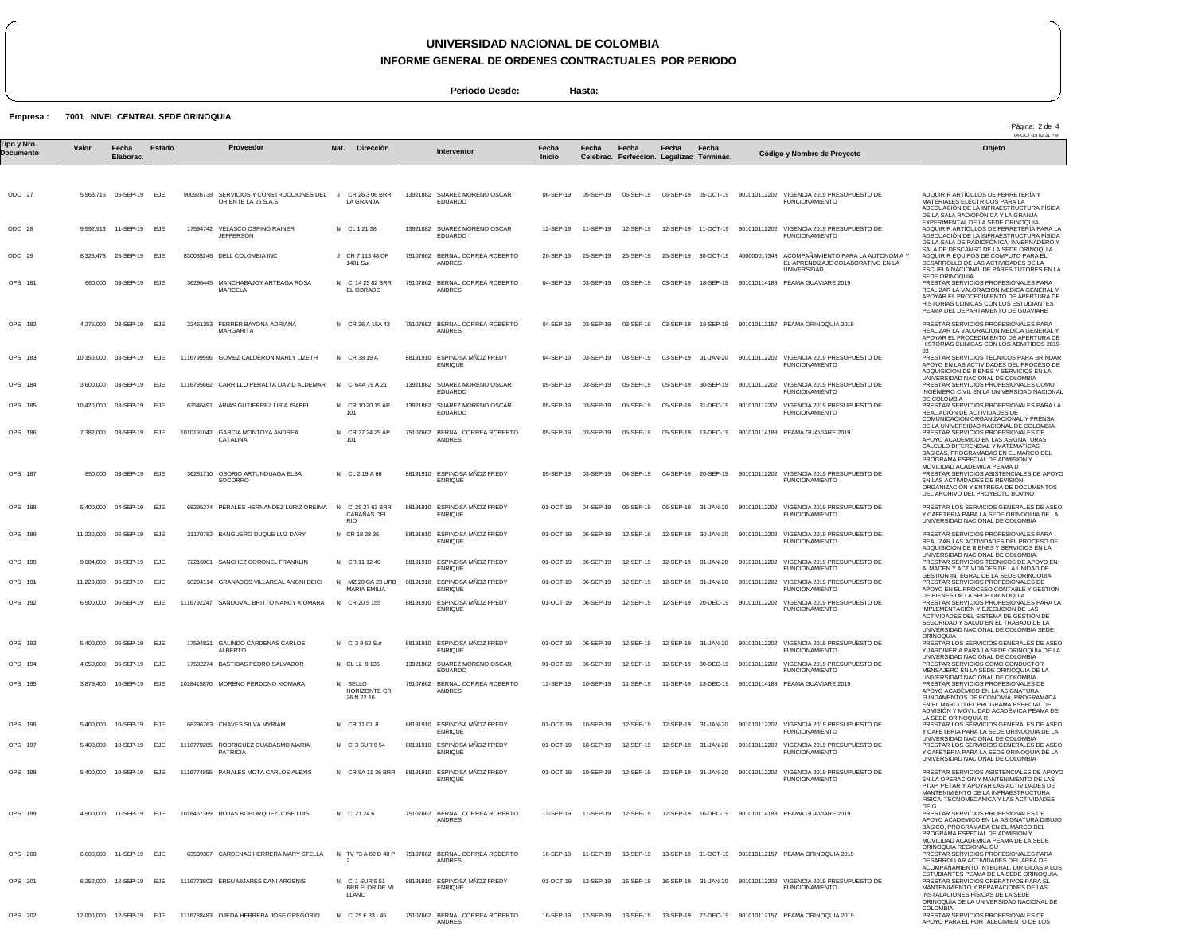**INFORME GENERAL DE ORDENES CONTRACTUALES POR PERIODO**

Pàgina: 2 de 4

APOYO PARA EL FORTALECIMIENTO DE LOS

**Periodo Desde: Hasta:**

#### **Empresa : 7001 NIVEL CENTRAL SEDE ORINOQUIA**

OPS 202

12,000,000 12-SEP-19 EJE

1116788483 OJEDA HERRERA JOSE GREGORIO

N Cl 25 F 33 - 45

75107662 BERNAL CORREA ROBERTO

16-SEP-19 12-SEP-19 13-SEP-19 13-SEP-19 27-DEC-19 901010112157 PEAMA ORINOQUIA 2019

ANDRES

04-OCT-19 02:31 PM ODC 27 ODC 28 ODC 29 OPS 181 OPS 182 OPS 183 OPS 184 OPS 185 OPS 186 OPS 187 OPS 188 OPS 189 OPS 190 OPS 191 OPS 192 OPS 193 OPS 194 OPS 195 OPS 196 OPS 197 OPS 198 OPS 199 OPS 200 OPS 201 5,963,716 05-SEP-19 EJE 9,992,913 8,325,478 25-SEP-19 660,000 03-SEP-19 EJE 4,275,000 10,350,000 03-SEP-19 3,600,000 10,420,000 03-SEP-19 7,382,000 03-SEP-19 EJE 850,000 5,400,000 04-SEP-19 11,220,000 9,084,000 06-SEP-19 11,220,000 06-SEP-19 6,900,000 5,400,000 4,050,000 3,879,400 5,400,000 5,400,000 5,400,000 4,900,000 6,000,000 6,252,000 **Valor** 11-SEP-19 03-SEP-19 03-SEP-19 03-SEP-19 06-SEP-19 06-SEP-19 06-SEP-19 EJE 06-SEP-19 10-SEP-19 EJE 10-SEP-19 10-SEP-19 EJE 10-SEP-19 11-SEP-19 11-SEP-19 12-SEP-19 **Fecha Elaborac.** EJE EJE EJE EJE EJE EJE EJE EJE EJE EJE EJE EJE EJE EJE EJE EJE EJE EJE **Estado** 900926738 SERVICIOS Y CONSTRUCCIONES DEL J 17594742 VELASCO OSPINO RAINER 830035246 DELL COLOMBIA INC 36296445 MANCHABAJOY ARTEAGA ROSA MARCELA 22461353 FERRER BAYONA ADRIANA 1116799596 GOMEZ CALDERON MARLY LIZETH 1116795662 CARRILLO PERALTA DAVID ALDEMAR 63546491 ARIAS GUTIERREZ LIRIA ISABEL 1010191042 GARCIA MONTOYA ANDREA 36281710 OSORIO ARTUNDUAGA ELSA SOCORRO 68295274 PERALES HERNANDEZ LURIZ OREIMA 31170782 BANGUERO DUQUE LUZ DARY 72216001 SANCHEZ CORONEL FRANKLIN 68294114 GRANADOS VILLAREAL ANGNI DEICI 1116792247 SANDOVAL BRITTO NANCY XIOMARA 17594821 GALINDO CARDENAS CARLOS 17582274 BASTIDAS PEDRO SALVADOR 1018415870 MORENO PERDONO XIOMARA 68296763 CHAVES SILVA MYRIAM 1116779205 RODRIGUEZ GUADASMO MARIA 1116774855 PARALES MOTA CARLOS ALEXIS 1018467369 ROJAS BOHORQUEZ JOSE LUIS 63539307 CARDENAS HERRERA MARY STELLA 1116773803 EREU MIJARES DANI ARGENIS ORIENTE LA 26 S.A.S. **JEFFERSON MARGARITA CATALINA** ALBERTO PATRICIA N CL 1 21 38 J CR 7 113 48 OF N Cl 14 25 82 BRR EL OBRADO N CR 36 A 15A 43 N CR 38 19 A N Cl 64A 79 A 21 N CR 10 20 15 AP N CR 27 24 25 AP N CL 2 19 A 66 N N CR 18 28 36 N CR 11 12 40 N N N Cl 3 9 62 Sur N CL 12 9 136 N BELLO N CR 11 CL 8 N Cl 3 SUR 9 54 N CR 9A 11 36 BRR N N TV 73 A 82 D 48 P N Cl 1 SUR 5 51 **Nat.** CR 26 3 06 BRR LA GRANJA 1401 Sur 101 101 Cl 25 27 63 BRR CABAÑAS DEL RIO MZ 20 CA 23 URB MARIA EMILIA CR 20 5 155 HORIZONTE CR 26 N 22 16 Cl 21 24 6 2 BRR FLOR DE MI LLANO **Direcciòn** 13921882 SUAREZ MORENO OSCAR 13921882 SUAREZ MORENO OSCAR 75107662 BERNAL CORREA ROBERTO 75107662 BERNAL CORREA ROBERTO ANDRES 75107662 BERNAL CORREA ROBERTO 88191910 ESPINOSA MNOZ FREDY 13921882 13921882 SUAREZ MORENO OSCAR 75107662 BERNAL CORREA ROBERTO 88191910 ESPINOSA MÑOZ FREDY 88191910 ESPINOSA MNOZ FREDY 88191910 ESPINOSA MÑOZ FREDY ENRIQUE 88191910 ESPINOSA MÑOZ FREDY 88191910 ESPINOSA MÑOZ FREDY 88191910 ESPINOSA MÑOZ FREDY 88191910 ESPINOSA MNOZ FREDY 13921882 SUAREZ MORENO OSCAR 75107662 BERNAL CORREA ROBERTO 88191910 ESPINOSA MNOZ FREDY 88191910 ESPINOSA MNOZ FREDY 88191910 ESPINOSA MÑOZ FREDY<br>ENRIQUE 75107662 BERNAL CORREA ROBERTO 75107662 BERNAL CORREA ROBERTO 88191910 ESPINOSA MNOZ FREDY EDUARDO EDUARDO ANDRES ANDRES ENRIQUE SUAREZ MORENO OSCAR EDUARDO EDUARDO ANDRES ENRIQUE ENRIQUE ENRIQUE ENRIQUE ENRIQUE ENRIQUE EDUARDO ANDRES ENRIQUE ENRIQUE ANDRES ANDRES ENRIQUE 06-SEP-19 12-SEP-19 26-SEP-19 04-SEP-19 04-SEP-19 04-SEP-19 05-SEP-19 05-SEP-19 05-SEP-19 05-SEP-19 01-OCT-19 01-OCT-19 01-OCT-19 01-OCT-19 01-OCT-19 01-OCT-19 01-OCT-19 12-SEP-19 01-OCT-19 01-OCT-19 01-OCT-19 13-SEP-19 16-SEP-19 01-OCT-19 **Fecha Inicio** 05-SEP-19 11-SEP-19 25-SEP-19 03-SEP-19 03-SEP-19 03-SEP-19 18-SEP-19 901010114188 PEAMA GUAVIARE 2019 03-SEP-19 03-SEP-19 03-SEP-19 03-SEP-19 03-SEP-19 05-SEP-19 05-SEP-19 13-DEC-19 901010114188 PEAMA GUAVIARE 2019 03-SEP-19 04-SEP-19 06-SEP-19 06-SEP-19 06-SEP-19 06-SEP-19 06-SEP-19 06-SEP-19 10-SEP-19 10-SEP-19 10-SEP-19 10-SEP-19 11-SEP-19 11-SEP-19 12-SEP-19 **Fecha Celebrac.** 06-SEP-19 06-SEP-19 05-OCT-19 901010112202 VIGENCIA 2019 PRESUPUESTO DE 12-SEP-19 25-SEP-19 03-SEP-19 03-SEP-19 03-SEP-19 31-JAN-20 05-SEP-19 05-SEP-19 04-SEP-19 06-SEP-19 12-SEP-19 12-SEP-19 12-SEP-19 12-SEP-19 12-SEP-19 12-SEP-19 11-SEP-19 12-SEP-19 12-SEP-19 12-SEP-19 12-SEP-19 13-SEP-19 16-SEP-19 **Fecha Perfeccion. Legalizac Terminac.** 12-SEP-19 11-OCT-19 25-SEP-19 30-OCT-19 03-SEP-19 18-SEP-19 05-SEP-19 30-SEP-19 05-SEP-19 31-DEC-19 04-SEP-19 20-SEP-19 06-SEP-19 31-JAN-20 12-SEP-19 30-JAN-20 12-SEP-19 31-JAN-20 12-SEP-19 31-JAN-20 12-SEP-19 20-DEC-19 12-SEP-19 31-JAN-20 12-SEP-19 30-DEC-19 11-SEP-19 13-DEC-19 12-SEP-19 12-SEP-19 31-JAN-20 12-SEP-19 31-JAN-20 12-SEP-19 13-SEP-19 31-OCT-19 901010112157 PEAMA ORINOQUIA 2019 16-SEP-19 31-JAN-20 **Fecha** 31-JAN-20 16-DEC-19 **Fecha** 901010112202 VIGENCIA 2019 PRESUPUESTO DE 400000017348 ACOMPAÑAMIENTO PARA LA AUTONOMÍA Y EL APRENDIZAJE COLABORATIVO EN LA 901010112157 PEAMA ORINOQUIA 2019 901010112202 VIGENCIA 2019 PRESUPUESTO DE 901010112202 VIGENCIA 2019 PRESUPUESTO DE 901010112202 VIGENCIA 2019 PRESUPUESTO DE 901010112202 VIGENCIA 2019 PRESUPUESTO DE 901010112202 VIGENCIA 2019 PRESUPUESTO DE 901010112202 VIGENCIA 2019 PRESUPUESTO DE FUNCIONAMIENTO 901010112202 VIGENCIA 2019 PRESUPUESTO DE 901010112202 VIGENCIA 2019 PRESUPUESTO DE 901010112202 VIGENCIA 2019 PRESUPUESTO DE 901010112202 VIGENCIA 2019 PRESUPUESTO DE 901010112202 VIGENCIA 2019 PRESUPUESTO DE 901010114188 PEAMA GUAVIARE 2019 901010112202 VIGENCIA 2019 PRESUPUESTO DE 901010112202 VIGENCIA 2019 PRESUPUESTO DE 901010112202 VIGENCIA 2019 PRESUPUESTO DE FUNCIONAMIENTO 901010114188 PEAMA GUAVIARE 2019 901010112202 VIGENCIA 2019 PRESUPUESTO DE FUNCIONAMIENTO FUNCIONAMIENTO **UNIVERSIDAD** FUNCIONAMIENTO FUNCIONAMIENTO FUNCION. FUNCIONAMIENTO FUNCIONAMIENTO FUNCION FUNCIONAMIENTO FUNCIONAMIENTO MOLITOM<br>FUNCIONA FUNCIONAMIENTO FUNCIONAMIENTO FUNCIONAMIENTO FUNCIONAMIENTO ADQUIRIR ARTÍCULOS DE FERRETERÍA Y MATERIALES ELECTRICOS PARA LA<br>ADECUACIÓN DE LA INFRAESTRUCTURA FÍSICA<br>DE LA SALA RADIOFÓNICA Y LA GRANJA<br>EXPERIMENTAL DE LA SEDE ORINOQUIA.<br>ADQUIRIR ARTÍCULOS DE FERRETERÍA PARA LA ADECUACIÓN DE LA INFRAESTRUCTURA FÍSICA DE LA SALA DE RADIOFONICA, INVERNADERO Y<br>SALA DE DESCANSO DE LA SEDE ORINOQUIA.<br>ADQUIRIR EQUIPOS DE COMPUTO PARA EL<br>DESARROLLO DE LAS ACTIVIDADES DE LA<br>ESCUELA NACIONAL DE PARES TUTORES EN LA SEDE ORINOQUIA<br>PRESTAR SERVICIOS PROFESIONALES PARA<br>REALIZAR LA VALORACION MEDICA GENERAL Y<br>APOYAR EL PROCEDIMIENTO DE APERTURA DE<br>HISTORIAS CLINICAS CON LOS ESTUDIANTES<br>PEAMA DEL DEPARTAMENTO DE GUAVIARE PRESTAR SERVICIOS PROFESIONALES PARA<br>REALIZAR LA VALORACION MEDICA GENERAL Y<br>APOYAR EL PROCEDIMIENTO DE APERTURA DE<br>HISTORIAS CLINICAS CON LOS ADMITIDOS 2019-02 PRESTAR SERVICIOS TECNICOS PARA BRINDAR APOYO EN LAS ACTIVIDADES DEL PROCESO DE ADQUISICION DE BIENES Y SERVICIOS EN LA UNIVERSIDAD NACIONAL DE COLOMBIA PRESTAR SERVICIOS PROFESIONALES COMO INGENIERO CIVIL EN LA UNIVERSIDAD NACIONAL DE COLOMBIA PRESTAR SERVICIOS PROFESIONALES PARA LA REALIACIÓN DE ACTIVIDADES DE<br>COMUNICACIÓN ORGANIZACIONAL Y PRENSA<br>DE LA UNIVERSIDAD NACIONAL DE COLOMBIA.<br>PRESTAR SERVICIOS PROFESIONALES DE APOYO ACADEMICO EN LAS ASIGNATURAS<br>CALCULO DIFERENCIAL Y MATEMATICAS<br>BASICAS, PROGRAMADAS EN EL MARCO DEL<br>PROGRAMA ESPECIAL DE ADMISION Y<br>PROGRAMA ESPECIAL DE ADMISION Y<br>MOVILIDAD ACADEMICA PEAMA D PRESTAR SERVICIOS ASISTENCIALES DE APOYO EN LAS ACTIVIDADES DE REVISIÒN, ORGANIZACIÒN Y ENTREGA DE DOCUMENTOS DEL ARCHIVO DEL PROYECTO BOVINO PRESTAR LOS SERVICIOS GENERALES DE ASEO Y CAFETERIA PARA LA SEDE ORINOQUIA DE LA UNIVERSIDAD NACIONAL DE COLOMBIA PRESTAR SERVICIOS PROFESIONALES PARA REALIZAR LAS ACTIVIDADES DEL PROCESO DE ADQUISICIÓN DE BIENES Y SERVICIOS EN LA UNIVERSIDAD NACIONAL DE COLOMBIA.<br>PRESTAR SERVICIOS TECNICOS DE APOYO EN:<br>ALMACEN Y ACTIVIDADES DE LA UNIDAD DE<br>GESTION INTEGRAL DE LA SEDE ORINOQUIA<br>PRESTAR SERVICIOS PROFESIONALES DE<br>APOYO EN EL PROCESO CONTABLE Y GESTIO DE BIENES DE LA SEDE ORINOQUIA<br>PRESTAR SERVICIOS PROFESIONALES PARA LA<br>IMPLEMENTACIÒN Y EJECUCIÓN DE LAS<br>ACTIVIDADS Y SALUD EN EL TRABAJO DE LA<br>SEGURIDAD Y SALUD EN EL TRABAJO DE LA UNIVERSIDAD NACIONAL DE COLOMBIA SEDE ORINOQUIA PRESTAR LOS SERVICIOS GENERALES DE ASEO Y JARDINERIA PARA LA SEDE ORINOQUIA DE LA UNIVERSIDAD NACIONAL DE COLOMBIA PRESTAR SERVICIOS COMO CONDUCTOR MENSAJERO EN LA SEDE ORINOQUIA DE LA UNIVERSIDAD NACIONAL DE COLOMBIA PRESTAR SERVICIOS PROFESIONALES DE APOYO ACADÉMICO EN LA ASIGNATURA FUNDAMENTOS DE ECONOMÍA, PROGRAMADA EN EL MARCO DEL PROGRAMA ESPECIAL DE ADMISION Y MOVILIDAD ACADEMICA PEAMA DE<br>LA SEDE ORINOQUIA R<br>PRESTAR LOS SERVICIOS GENERALES DE ASEO<br>Y CAFETERIA PARA LA SEDE ORINOQUIA DE LA<br>UNIVERSIDAD NACIONAL DE COLOMBIA<br>PRESTAR LOS SERVICIOS GENERALES DE ASEO Y CAFETERIA PARA LA SEDE ORINOQUIA DE LA UNIVERSIDAD NACIONAL DE COLOMBIA PRESTAR SERVICIOS ASISTENCIALES DE APOYO EN LA OPERACION Y MANTENIMIENTO DE LAS PTAP, PETAR Y APOYAR LAS ACTIVIDADES DE MANTENIMIENTO DE LA INFRAESTRUCTURA FISICA, TECNOMECANICA Y LAS ACTIVIDADES DE G PRESTAR SERVICIOS PROFESIONALES DE APOYO ACADEMICO EN LA ASIGNATURA DIBUJO BASICO, PROGRAMADA EN EL MARCO DEL PROGRAMA ESPECIAL DE ADMISION Y MOVILIDAD ACADEMICA PEAMA DE LA SEDE ORINOQUIA REGIONAL GU PRESTAR SERVICIOS PROFESIONALES PARA DESARROLLAR ACTIVIDADES DEL ÁREA DE ACOMPAÑAMIENTO INTEGRAL, DIRIGIDAS A LOS ESTUDIANTES PEAMA DE LA SEDE ORINOQUIA. PRESTAR SERVICIOS OPERATIVOS PARA EL MANTENIMIENTO Y REPARACIONES DE LAS INSTALACIONES FÍSICAS DE LA SEDE ORINOQUIA DE LA UNIVERSIDAD NACIONAL DE COLOMBIA. PRESTAR SERVICIOS PROFESIONALES DE Tipo y Nro.<br>"Province a Valor Fecha Estado Proveedor Nat. Direcciòn Interventor Fecha Fecha Fecha Fecha Computer a variante i a computator a variante del Dijeto **Documento Proveedor Interventor Còdigo y Nombre de Proyecto**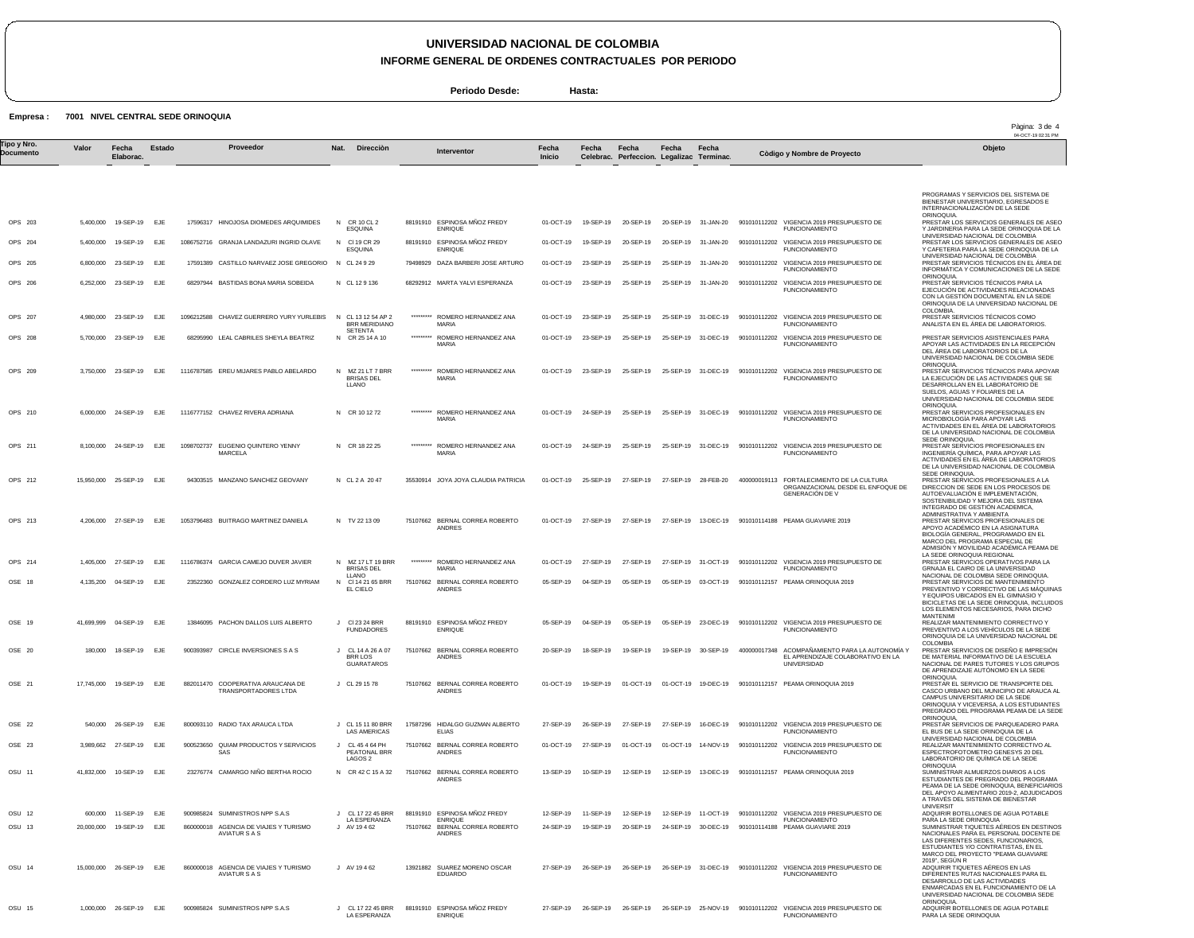**INFORME GENERAL DE ORDENES CONTRACTUALES POR PERIODO**

**Periodo Desde: Hasta:**

**Empresa : 7001 NIVEL CENTRAL SEDE ORINOQUIA**

|                          |           |                          |        |            |                                                               |      |                                                 |           |                                                     |                 |                     |                                                    |           |                      |              |                                                                                                                                                       | Pàgina: 3 de 4<br>04-OCT-19 02:31 PM                                                                                                                                                                                    |
|--------------------------|-----------|--------------------------|--------|------------|---------------------------------------------------------------|------|-------------------------------------------------|-----------|-----------------------------------------------------|-----------------|---------------------|----------------------------------------------------|-----------|----------------------|--------------|-------------------------------------------------------------------------------------------------------------------------------------------------------|-------------------------------------------------------------------------------------------------------------------------------------------------------------------------------------------------------------------------|
| Tipo y Nro.<br>Documento | Valor     | Fecha<br>Elaborac.       | Estado |            | Proveedor                                                     | Nat. | Direcciòn                                       |           | Interventor                                         | Fecha<br>Inicio | Fecha               | Fecha<br>Celebrac. Perfeccion. Legalizac Terminac. | Fecha     | Fecha                |              | Còdigo y Nombre de Proyecto                                                                                                                           | Objeto                                                                                                                                                                                                                  |
|                          |           |                          |        |            |                                                               |      |                                                 |           |                                                     |                 |                     |                                                    |           |                      |              |                                                                                                                                                       | PROGRAMAS Y SERVICIOS DEL SISTEMA DE                                                                                                                                                                                    |
| OPS 203                  |           | 5,400,000 19-SEP-19      | EJE    |            | 17596317 HINOJOSA DIOMEDES ARQUIMIDES                         |      | N CR 10 CL 2                                    |           | 88191910 ESPINOSA MÑOZ FREDY                        | 01-OCT-19       | 19-SEP-19           | 20-SEP-19                                          |           | 20-SEP-19 31-JAN-20  |              | 901010112202 VIGENCIA 2019 PRESUPUESTO DE                                                                                                             | BIENESTAR UNIVERSTIARIO, EGRESADOS E<br>INTERNACIONALIZACIÓN DE LA SEDE<br>ORINOQUIA.<br>PRESTAR LOS SERVICIOS GENERALES DE ASEO                                                                                        |
| OPS 204                  | 5,400,000 | 19-SEP-19                | EJE    |            | 1086752716 GRANJA LANDAZURI INGRID OLAVE                      |      | <b>ESQUINA</b><br>N CI 19 CR 29                 |           | <b>ENRIQUE</b><br>88191910 ESPINOSA MÑOZ FREDY      | 01-OCT-19       | 19-SEP-19           | 20-SEP-19                                          |           | 20-SEP-19 31-JAN-20  |              | <b>FUNCIONAMIENTO</b><br>901010112202 VIGENCIA 2019 PRESUPUESTO DE                                                                                    | Y JARDINERIA PARA LA SEDE ORINOQUIA DE LA<br>UNIVERSIDAD NACIONAL DE COLOMBIA<br>PRESTAR LOS SERVICIOS GENERALES DE ASEC                                                                                                |
| OPS 205                  |           | 6,800,000 23-SEP-19      | EJE    |            | 17591389 CASTILLO NARVAEZ JOSE GREGORIO N CL 24 9 29          |      | <b>ESQUINA</b>                                  |           | <b>ENRIQUE</b><br>79498929 DAZA BARBERI JOSE ARTURO | 01-OCT-19       | 23-SEP-19           | 25-SEP-19                                          |           | 25-SEP-19 31-JAN-20  |              | <b>FUNCIONAMIENTO</b><br>901010112202 VIGENCIA 2019 PRESUPUESTO DE                                                                                    | Y CAFETERIA PARA LA SEDE ORINOQUIA DE LA<br>UNIVERSIDAD NACIONAL DE COLOMBIA<br>PRESTAR SERVICIOS TÉCNICOS EN EL ÁREA DE                                                                                                |
|                          |           | 6.252.000 23-SEP-19      |        |            |                                                               |      | N CL 129136                                     |           |                                                     |                 |                     |                                                    |           |                      |              | <b>FUNCIONAMIENTO</b>                                                                                                                                 | INFORMÁTICA Y COMUNICACIONES DE LA SEDE<br>ORINOQUIA.                                                                                                                                                                   |
| OPS 206                  |           |                          | EJE    |            | 68297944 BASTIDAS BONA MARIA SOBEIDA                          |      |                                                 |           | 68292912 MARTA YALVI ESPERANZA                      | 01-OCT-19       | 23-SEP-19           | 25-SEP-19                                          |           | 25-SEP-19 31-JAN-20  |              | 901010112202 VIGENCIA 2019 PRESUPUESTO DE<br><b>FUNCIONAMIENTO</b>                                                                                    | PRESTAR SERVICIOS TÉCNICOS PARA LA<br>EJECUCIÓN DE ACTIVIDADES RELACIONADAS<br>CON LA GESTIÓN DOCUMENTAL EN LA SEDE<br>ORINOQUIA DE LA UNIVERSIDAD NACIONAL DE<br>COLOMBIA.                                             |
| OPS 207                  |           | 4,980,000 23-SEP-19      | EJE    |            | 1096212588 CHAVEZ GUERRERO YURY YURLEBIS                      |      | N CL 13 12 54 AP 2<br><b>BRR MERIDIANO</b>      | ********* | ROMERO HERNANDEZ ANA<br><b>MARIA</b>                | 01-OCT-19       | 23-SEP-19           | 25-SEP-19                                          |           | 25-SEP-19 31-DEC-19  | 901010112202 | VIGENCIA 2019 PRESUPUESTO DE<br><b>FUNCIONAMIENTO</b>                                                                                                 | PRESTAR SERVICIOS TÉCNICOS COMO<br>ANALISTA EN EL ÁREA DE LABORATORIOS.                                                                                                                                                 |
| OPS 208                  |           | 5,700,000 23-SEP-19      | EJE    |            | 68295990 LEAL CABRILES SHEYLA BEATRIZ                         |      | SETENTA<br>N CR 25 14 A 10                      |           | ********* ROMERO HERNANDEZ ANA<br>MARIA             | 01-OCT-19       | 23-SEP-19           | 25-SEP-19                                          |           | 25-SEP-19 31-DEC-19  |              | 901010112202 VIGENCIA 2019 PRESUPUESTO DE<br><b>FUNCIONAMIENTO</b>                                                                                    | PRESTAR SERVICIOS ASISTENCIALES PARA<br>APOYAR LAS ACTIVIDADES EN LA RECEPCIÓN<br>DEL ÁREA DE LABORATORIOS DE LA<br>UNIVERSIDAD NACIONAL DE COLOMBIA SEDE                                                               |
| OPS 209                  |           | 3,750,000 23-SEP-19      | EJE    |            | 1116787585 EREU MIJARES PABLO ABELARDO                        |      | N MZ 21 LT 7 BRR<br><b>BRISAS DEL</b><br>LLANO  | ********* | ROMERO HERNANDEZ ANA<br><b>MARIA</b>                | 01-OCT-19       | 23-SEP-19           | 25-SEP-19                                          |           | 25-SEP-19 31-DEC-19  |              | 901010112202 VIGENCIA 2019 PRESUPUESTO DE<br><b>FUNCIONAMIENTO</b>                                                                                    | ORINOQUIA.<br>PRESTAR SERVICIOS TÉCNICOS PARA APOYAR<br>LA EJECUCIÓN DE LAS ACTIVIDADES QUE SE<br>DESARROLLAN EN EL LABORATORIO DE<br>SUELOS, AGUAS Y FOLIARES DE LA                                                    |
| OPS 210                  |           | 6,000,000 24-SEP-19 EJE  |        |            | 1116777152 CHAVEZ RIVERA ADRIANA                              |      | N CR 10 12 72                                   |           | ********* ROMERO HERNANDEZ ANA<br>MARIA             |                 | 01-OCT-19 24-SEP-19 | 25-SEP-19                                          |           | 25-SEP-19 31-DEC-19  |              | 901010112202 VIGENCIA 2019 PRESUPUESTO DE<br><b>FUNCIONAMIENTO</b>                                                                                    | UNIVERSIDAD NACIONAL DE COLOMBIA SEDE<br>ORINOQUIA.<br>PRESTAR SERVICIOS PROFESIONALES EN<br>MICROBIOLOGÍA PARA APOYAR LAS<br>ACTIVIDADES EN EL ÁREA DE LABORATORIOS                                                    |
| OPS 211                  |           | 8,100,000 24-SEP-19      | EJE    | 1098702737 | EUGENIO QUINTERO YENNY<br>MARCELA                             |      | N CR 18 22 25                                   |           | ********* ROMERO HERNANDEZ ANA<br><b>MARIA</b>      | 01-OCT-19       | 24-SEP-19           | 25-SEP-19                                          |           | 25-SEP-19 31-DEC-19  |              | 901010112202 VIGENCIA 2019 PRESUPUESTO DE<br><b>FUNCIONAMIENTO</b>                                                                                    | DE LA UNIVERSIDAD NACIONAL DE COLOMBIA<br>SEDE ORINOQUIA.<br>PRESTAR SERVICIOS PROFESIONALES EN<br>INGENIERÍA QUÍMICA, PARA APOYAR LAS                                                                                  |
| OPS 212                  |           | 15,950,000 25-SEP-19     | EJE    |            | 94303515 MANZANO SANCHEZ GEOVANY                              |      | N CL 2 A 2047                                   |           | 35530914 JOYA JOYA CLAUDIA PATRICIA                 | 01-OCT-19       | 25-SEP-19           | 27-SEP-19                                          | 27-SEP-19 | 28-FEB-20            |              | 400000019113 FORTALECIMIENTO DE LA CULTURA                                                                                                            | ACTIVIDADES EN EL ÁREA DE LABORATORIOS<br>DE LA UNIVERSIDAD NACIONAL DE COLOMBIA<br>SEDE ORINOQUIA.<br>PRESTAR SERVICIOS PROFESIONALES A LA                                                                             |
|                          |           |                          |        |            |                                                               |      |                                                 |           |                                                     |                 |                     |                                                    |           |                      |              | ORGANIZACIONAL DESDE EL ENFOQUE DE<br><b>GENERACIÓN DE V</b>                                                                                          | DIRECCION DE SEDE EN LOS PROCESOS DE<br>AUTOEVALUACIÓN E IMPLEMENTACIÓN,<br>SOSTENIBILIDAD Y MEJORA DEL SISTEMA<br>INTEGRADO DE GESTIÓN ACADEMICA,                                                                      |
| OPS 213                  |           | 4,206,000 27-SEP-19      | EJE    |            | 1053796483 BUITRAGO MARTINEZ DANIELA                          |      | N TV 22 13 09                                   |           | 75107662 BERNAL CORREA ROBERTO<br>ANDRES            |                 | 01-OCT-19 27-SEP-19 | 27-SEP-19                                          |           | 27-SEP-19 13-DEC-19  |              | 901010114188 PEAMA GUAVIARE 2019                                                                                                                      | ADMINISTRATIVA Y AMBIENTA<br>PRESTAR SERVICIOS PROFESIONALES DE<br>APOYO ACADÉMICO EN LA ASIGNATURA<br>BIOLOGÍA GENERAL, PROGRAMADO EN EL<br>MARCO DEL PROGRAMA ESPECIAL DE<br>ADMISIÓN Y MOVILIDAD ACADÉMICA PEAMA DE  |
| OPS 214                  |           | 1,405,000 27-SEP-19 EJE  |        |            | 1116786374 GARCIA CAMEJO DUVER JAVIER                         |      | N MZ 17 LT 19 BRR<br><b>BRISAS DEL</b>          |           | ********* ROMERO HERNANDEZ ANA<br>MARIA             |                 | 01-OCT-19 27-SEP-19 | 27-SEP-19                                          |           | 27-SEP-19 31-OCT-19  |              | 901010112202 VIGENCIA 2019 PRESUPUESTO DE<br><b>FUNCIONAMIENTO</b>                                                                                    | LA SEDE ORINOQUIA REGIONAL<br>PRESTAR SERVICIOS OPERATIVOS PARA LA<br>GRNAJA EL CAIRO DE LA UNIVERSIDAD                                                                                                                 |
| OSE 18                   |           | 4,135,200 04-SEP-19      | EJE    |            | 23522360 GONZALEZ CORDERO LUZ MYRIAM                          |      | LLANO<br>N CI 14 21 65 BRR<br>EL CIELO          |           | 75107662 BERNAL CORREA ROBERTO<br><b>ANDRES</b>     | 05-SEP-19       | 04-SEP-19           | 05-SEP-19                                          |           | 05-SEP-19 03-OCT-19  |              | 901010112157 PEAMA ORINOQUIA 2019                                                                                                                     | NACIONAL DE COLOMBIA SEDE ORINOQUIA<br>PRESTAR SERVICIOS DE MANTENIMIENTO<br>PREVENTIVO Y CORRECTIVO DE LAS MÁQUINAS                                                                                                    |
|                          |           |                          |        |            |                                                               |      |                                                 |           |                                                     |                 |                     |                                                    |           |                      |              |                                                                                                                                                       | Y EQUIPOS UBICADOS EN EL GIMNASIO Y<br>BICICLETAS DE LA SEDE ORINOQUIA, INCLUIDOS<br>LOS ELEMENTOS NECESARIOS, PARA DICHO<br><b>MANTENIMI</b>                                                                           |
| OSE 19                   |           | 41.699.999 04-SEP-19 EJE |        |            | 13846095 PACHON DALLOS LUIS ALBERTO                           |      | J CI 23 24 BRR<br><b>FUNDADORES</b>             |           | 88191910 ESPINOSA MÑOZ FREDY<br><b>ENRIQUE</b>      | 05-SEP-19       | 04-SEP-19           | 05-SEP-19                                          |           | 05-SEP-19 23-DEC-19  |              | 901010112202 VIGENCIA 2019 PRESUPUESTO DE<br><b>FUNCIONAMIENTO</b>                                                                                    | REALIZAR MANTENIMIENTO CORRECTIVO Y<br>PREVENTIVO A LOS VEHÍCULOS DE LA SEDE<br>ORINOQUIA DE LA UNIVERSIDAD NACIONAL DE<br>COLOMBIA                                                                                     |
| OSE 20                   | 180,000   | 18-SEP-19 EJE            |        |            | 900393987 CIRCLE INVERSIONES S A S                            |      | CL 14 A 26 A 07<br>BRR LOS<br><b>GUARATAROS</b> |           | 75107662 BERNAL CORREA ROBERTO<br>ANDRES            |                 |                     |                                                    |           |                      |              | 20-SEP-19 18-SEP-19 19-SEP-19 19-SEP-19 30-SEP-19 400000017348 ACOMPAÑAMIENTO PARA LA AUTONOMÍA Y<br>EL APRENDIZAJE COLABORATIVO EN LA<br>UNIVERSIDAD | PRESTAR SERVICIOS DE DISEÑO E IMPRESIÓN<br>DE MATERIAL INFORMATIVO DE LA ESCUELA<br>NACIONAL DE PARES TUTORES Y LOS GRUPOS<br>DE APRENDIZAJE AUTÓNOMO EN LA SEDE                                                        |
| OSE 21                   |           | 17,745,000  19-SEP-19    | EJE    |            | 882011470 COOPERATIVA ARAUCANA DE<br>TRANSPORTADORES LTDA     |      | J CL 29 15 78                                   |           | 75107662 BERNAL CORREA ROBERTO<br><b>ANDRES</b>     | 01-OCT-19       |                     |                                                    |           |                      |              | 19-SEP-19  01-OCT-19  01-OCT-19  19-DEC-19  901010112157  PEAMA ORINOQUIA  2019                                                                       | ORINOQUIA.<br>PRESTAR EL SERVICIO DE TRANSPORTE DEL<br>CASCO URBANO DEL MUNICIPIO DE ARAUCA AL<br>CAMPUS UNIVERSITARIO DE LA SEDE<br>ORINOQUIA Y VICEVERSA, A LOS ESTUDIANTES<br>PREGRADO DEL PROGRAMA PEAMA DE LA SEDE |
| OSE 22                   |           | 540.000 26-SEP-19        | EJE    |            | 800093110 RADIO TAX ARAUCA LTDA                               |      | J CL 15 11 80 BRR<br>LAS AMERICAS               |           | 17587296 HIDALGO GUZMAN ALBERTO<br>ELIAS            | 27-SEP-19       | 26-SEP-19           | 27-SEP-19                                          |           | 27-SEP-19 16-DEC-19  |              | 901010112202 VIGENCIA 2019 PRESUPUESTO DE<br><b>FUNCIONAMIENTO</b>                                                                                    | ORINOQUIA,<br>PRESTAR SERVICIOS DE PARQUEADERO PARA<br>EL BUS DE LA SEDE ORINOQUIA DE LA<br>UNIVERSIDAD NACIONAL DE COLOMBIA                                                                                            |
| OSE 23                   |           | 3,989,662 27-SEP-19      | EJE    |            | 900523650 QUIAM PRODUCTOS Y SERVICIOS<br>SAS                  |      | J CL 45 4 64 PH<br>PEATONAL BRR<br>LAGOS 2      |           | 75107662 BERNAL CORREA ROBERTO<br>ANDRES            |                 | 01-OCT-19 27-SEP-19 | 01-OCT-19                                          |           |                      |              | 01-OCT-19  14-NOV-19  901010112202  VIGENCIA  2019 PRESUPUESTO DE<br><b>FUNCIONAMIENTO</b>                                                            | REALIZAR MANTENIMIENTO CORRECTIVO AL<br>ESPECTROFOTOMETRO GENESYS 20 DEL<br>LABORATORIO DE QUÍMICA DE LA SEDE                                                                                                           |
| OSU 11                   |           | 41,832,000 10-SEP-19     | EJE    |            | 23276774 CAMARGO NIÑO BERTHA ROCIO                            |      | N CR 42 C 15 A 32                               |           | 75107662 BERNAL CORREA ROBERTO<br><b>ANDRES</b>     | 13-SEP-19       | 10-SEP-19           | 12-SEP-19                                          | 12-SEP-19 | 13-DEC-19            |              | 901010112157 PEAMA ORINOQUIA 2019                                                                                                                     | ORINOQUIA<br>SUMINISTRAR ALMUERZOS DIARIOS A LOS<br>ESTUDIANTES DE PREGRADO DEL PROGRAMA<br>PEAMA DE LA SEDE ORINOQUIA, BENEFICIARIOS<br>DEL APOYO ALIMENTARIO 2019-2, ADJUDICADOS<br>A TRAVÉS DEL SISTEMA DE BIENESTAR |
| OSU 12                   |           | 600,000 11-SEP-19        | EJE    |            | 900985824 SUMINISTROS NPP S.A.S                               |      | J CL 17 22 45 BRR<br>LA ESPERANZA               |           | 88191910 ESPINOSA MÑOZ FREDY<br><b>ENRIQUE</b>      | 12-SEP-19       | 11-SEP-19           | 12-SEP-19                                          |           | 12-SEP-19  11-OCT-19 |              | 901010112202 VIGENCIA 2019 PRESUPUESTO DE<br><b>FUNCIONAMIENTO</b>                                                                                    | <b>UNIVERSIT</b><br>ADQUIRIR BOTELLONES DE AGUA POTABLE<br>PARA LA SEDE ORINOQUIA                                                                                                                                       |
| OSU 13                   |           | 20,000,000 19-SEP-19     | EJE    |            | 860000018 AGENCIA DE VIAJES Y TURISMO<br>AVIATUR S A S        |      | J AV 19462                                      |           | 75107662 BERNAL CORREA ROBERTO<br><b>ANDRES</b>     | 24-SEP-19       | 19-SEP-19           | 20-SEP-19                                          |           | 24-SEP-19 30-DEC-19  |              | 901010114188 PEAMA GUAVIARE 2019                                                                                                                      | SUMINISTRAR TIQUETES AÉREOS EN DESTINOS<br>NACIONALES PARA EL PERSONAL DOCENTE DE<br>LAS DIFERENTES SEDES, FUNCIONARIOS,<br>ESTUDIANTES Y/O CONTRATISTAS, EN EL<br>MARCO DEL PROYECTO "PEAMA GUAVIARE                   |
| OSU 14                   |           | 15,000,000 26-SEP-19 EJE |        |            | 860000018 AGENCIA DE VIAJES Y TURISMO<br><b>AVIATUR S A S</b> |      | J AV 19462                                      |           | 13921882 SUAREZ MORENO OSCAR<br><b>EDUARDO</b>      |                 | 27-SEP-19 26-SEP-19 | 26-SEP-19                                          |           | 26-SEP-19 31-DEC-19  |              | 901010112202 VIGENCIA 2019 PRESUPUESTO DE<br><b>FUNCIONAMIENTO</b>                                                                                    | 2019", SEGÚN R<br>ADQUIRIR TIQUETES AÉREOS EN LAS<br>DIFERENTES RUTAS NACIONALES PARA EL<br>DESARROLLO DE LAS ACTIVIDADES<br>ENMARCADAS EN EL FUNCIONAMIENTO DE LA<br>UNIVERSIDAD NACIONAL DE COLOMBIA SEDE             |
| OSU 15                   |           | 1,000,000 26-SEP-19      | EJE    |            | 900985824 SUMINISTROS NPP S.A.S                               |      | J CL 17 22 45 BRR<br>LA ESPERANZA               |           | 88191910 ESPINOSA MÑOZ FREDY<br><b>ENRIQUE</b>      |                 | 27-SEP-19 26-SEP-19 | 26-SEP-19                                          |           |                      |              | 26-SEP-19  25-NOV-19  901010112202  VIGENCIA  2019  PRESUPUESTO DE<br><b>FUNCIONAMIENTO</b>                                                           | ORINOQUIA.<br>ADQUIRIR BOTELLONES DE AGUA POTABLE<br>PARA LA SEDE ORINOQUIA                                                                                                                                             |